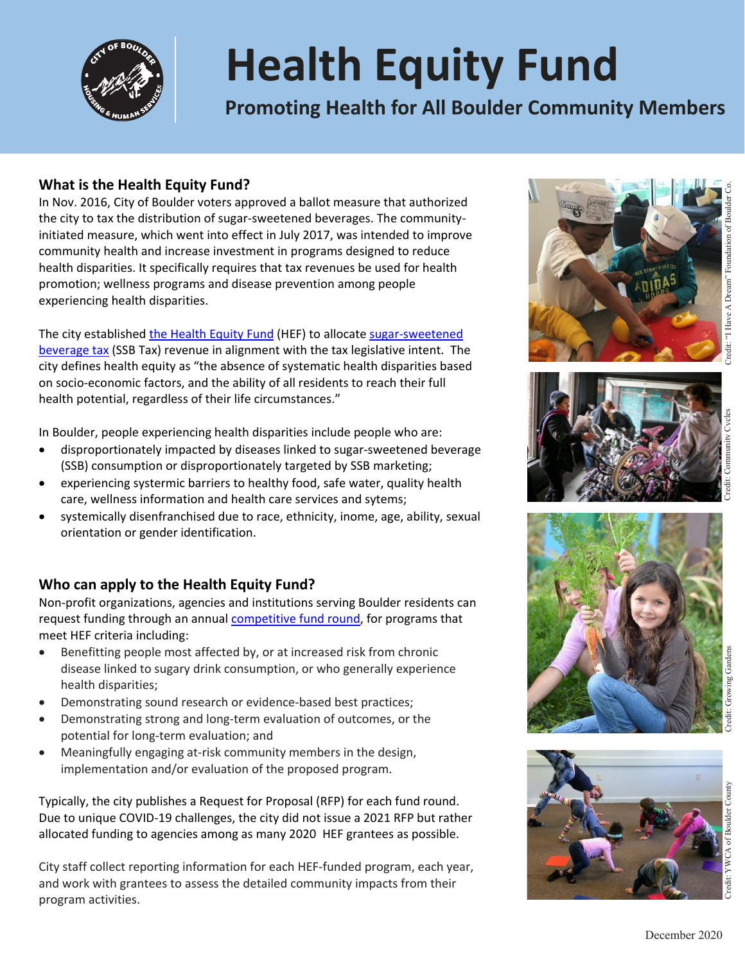

# **Health Equity Fund**

**Promoting Health for All Boulder Community Members** 

#### **What is the Health Equity Fund?**

In Nov. 2016, City of Boulder voters approved a ballot measure that authorized the city to tax the distribution of sugar-sweetened beverages. The communityinitiated measure, which went into effect in July 2017, was intended to improve community health and increase investment in programs designed to reduce health disparities. It specifically requires that tax revenues be used for health promotion; wellness programs and disease prevention among people experiencing health disparities.

The city establishe[d the Health Equity Fund](https://bouldercolorado.gov/human-services/health-equity-fund) (HEF) to allocate [sugar-sweetened](https://bouldercolorado.gov/tax-license/finance-sugar-sweetened-beverage-tax)  [beverage tax](https://bouldercolorado.gov/tax-license/finance-sugar-sweetened-beverage-tax) (SSB Tax) revenue in alignment with the tax legislative intent. The city defines health equity as "the absence of systematic health disparities based on socio-economic factors, and the ability of all residents to reach their full health potential, regardless of their life circumstances."

In Boulder, people experiencing health disparities include people who are:

- disproportionately impacted by diseases linked to sugar-sweetened beverage (SSB) consumption or disproportionately targeted by SSB marketing;
- experiencing systermic barriers to healthy food, safe water, quality health care, wellness information and health care services and sytems;
- systemically disenfranchised due to race, ethnicity, inome, age, ability, sexual orientation or gender identification.

### **Who can apply to the Health Equity Fund?**

Non-profit organizations, agencies and institutions serving Boulder residents can request funding through an annual [competitive fund round,](https://bouldercolorado.gov/human-services/how-to-apply-to-the-health-equity-fund) for programs that meet HEF criteria including:

- Benefitting people most affected by, or at increased risk from chronic disease linked to sugary drink consumption, or who generally experience health disparities;
- Demonstrating sound research or evidence-based best practices;
- Demonstrating strong and long-term evaluation of outcomes, or the potential for long-term evaluation; and
- Meaningfully engaging at-risk community members in the design, implementation and/or evaluation of the proposed program.

Typically, the city publishes a Request for Proposal (RFP) for each fund round. Due to unique COVID-19 challenges, the city did not issue a 2021 RFP but rather allocated funding to agencies among as many 2020 HEF grantees as possible.

City staff collect reporting information for each HEF-funded program, each year, and work with grantees to assess the detailed community impacts from their program activities.